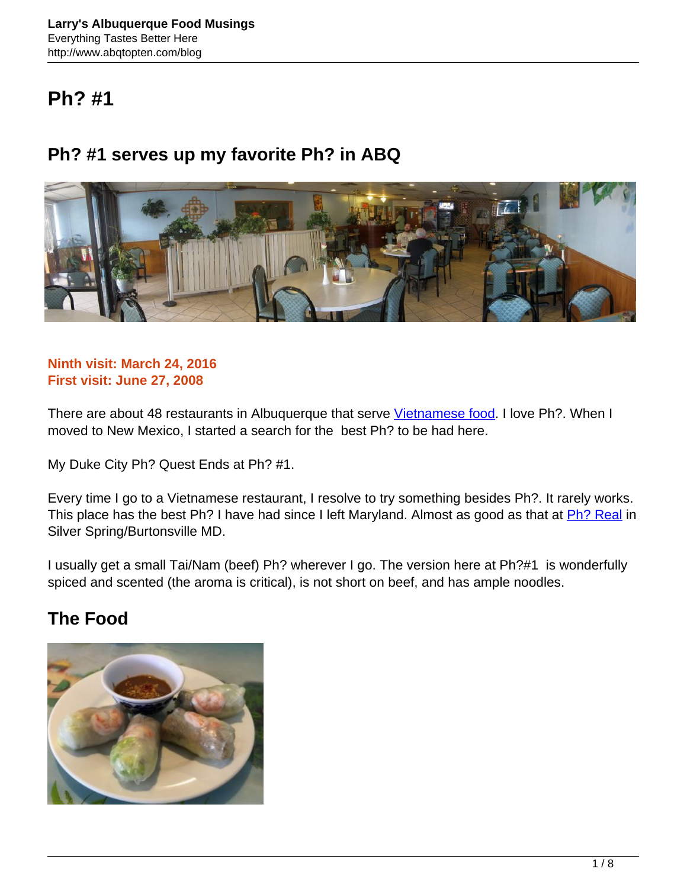# **Ph? #1**

## **Ph? #1 serves up my favorite Ph? in ABQ**



#### **Ninth visit: March 24, 2016 First visit: June 27, 2008**

There are about 48 restaurants in Albuquerque that serve [Vietnamese food](https://www.zomato.com/albuquerque-nm/best-vietnamese-restaurants). I love Ph?. When I moved to New Mexico, I started a search for the best Ph? to be had here.

My Duke City Ph? Quest Ends at Ph? #1.

Every time I go to a Vietnamese restaurant, I resolve to try something besides Ph?. It rarely works. This place has the best Ph? I have had since I left Maryland. Almost as good as that at [Ph? Real](http://www.abqtopten.com/blog/pho-real/) in Silver Spring/Burtonsville MD.

I usually get a small Tai/Nam (beef) Ph? wherever I go. The version here at Ph?#1 is wonderfully spiced and scented (the aroma is critical), is not short on beef, and has ample noodles.

### **The Food**

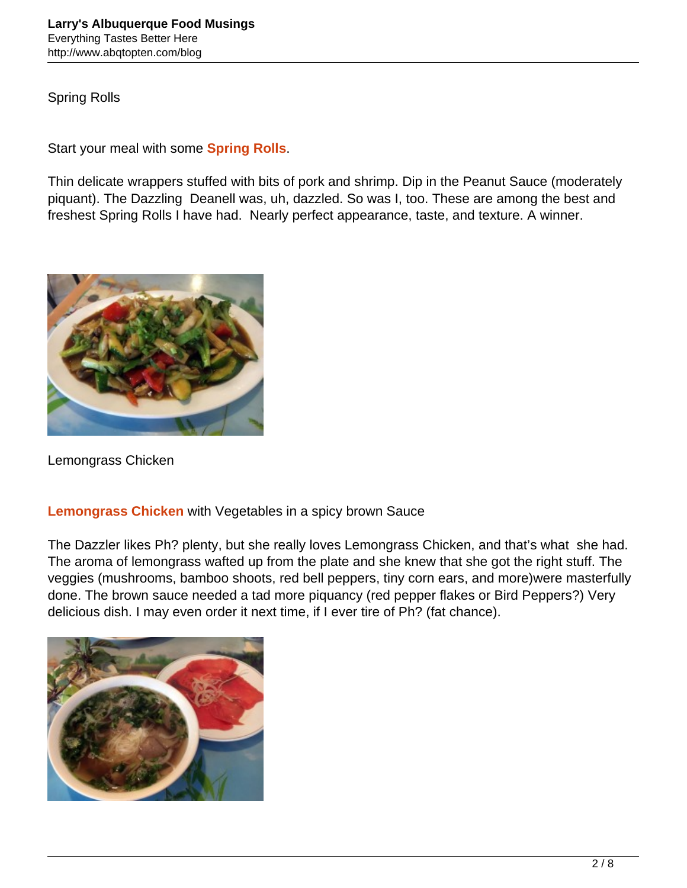Spring Rolls

Start your meal with some **Spring Rolls**.

Thin delicate wrappers stuffed with bits of pork and shrimp. Dip in the Peanut Sauce (moderately piquant). The Dazzling Deanell was, uh, dazzled. So was I, too. These are among the best and freshest Spring Rolls I have had. Nearly perfect appearance, taste, and texture. A winner.



Lemongrass Chicken

#### **Lemongrass Chicken** with Vegetables in a spicy brown Sauce

The Dazzler likes Ph? plenty, but she really loves Lemongrass Chicken, and that's what she had. The aroma of lemongrass wafted up from the plate and she knew that she got the right stuff. The veggies (mushrooms, bamboo shoots, red bell peppers, tiny corn ears, and more)were masterfully done. The brown sauce needed a tad more piquancy (red pepper flakes or Bird Peppers?) Very delicious dish. I may even order it next time, if I ever tire of Ph? (fat chance).

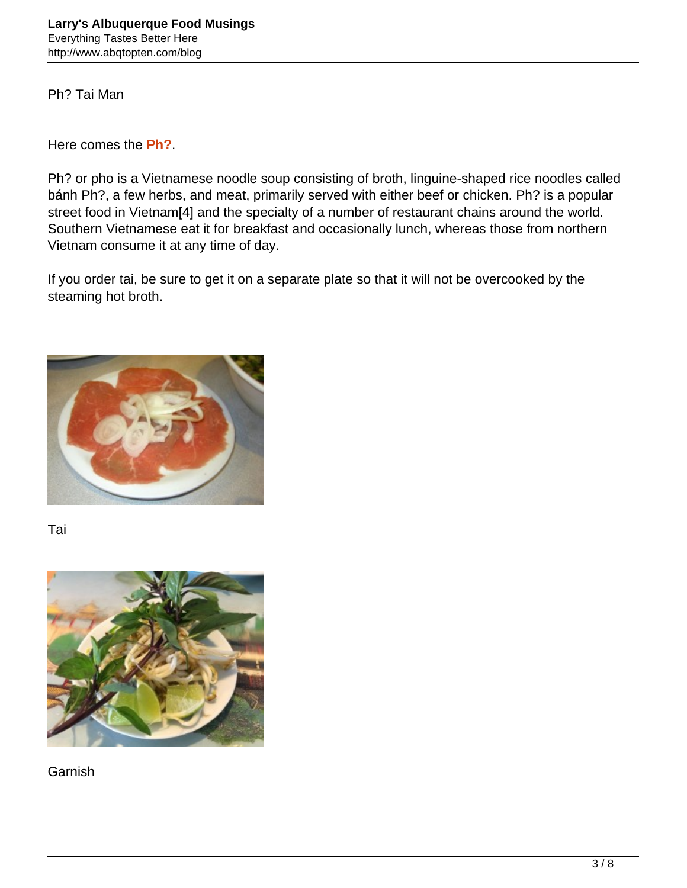Ph? Tai Man

Here comes the **Ph?**.

Ph? or pho is a Vietnamese noodle soup consisting of broth, linguine-shaped rice noodles called bánh Ph?, a few herbs, and meat, primarily served with either beef or chicken. Ph? is a popular street food in Vietnam[4] and the specialty of a number of restaurant chains around the world. Southern Vietnamese eat it for breakfast and occasionally lunch, whereas those from northern Vietnam consume it at any time of day.

If you order tai, be sure to get it on a separate plate so that it will not be overcooked by the steaming hot broth.



Tai



Garnish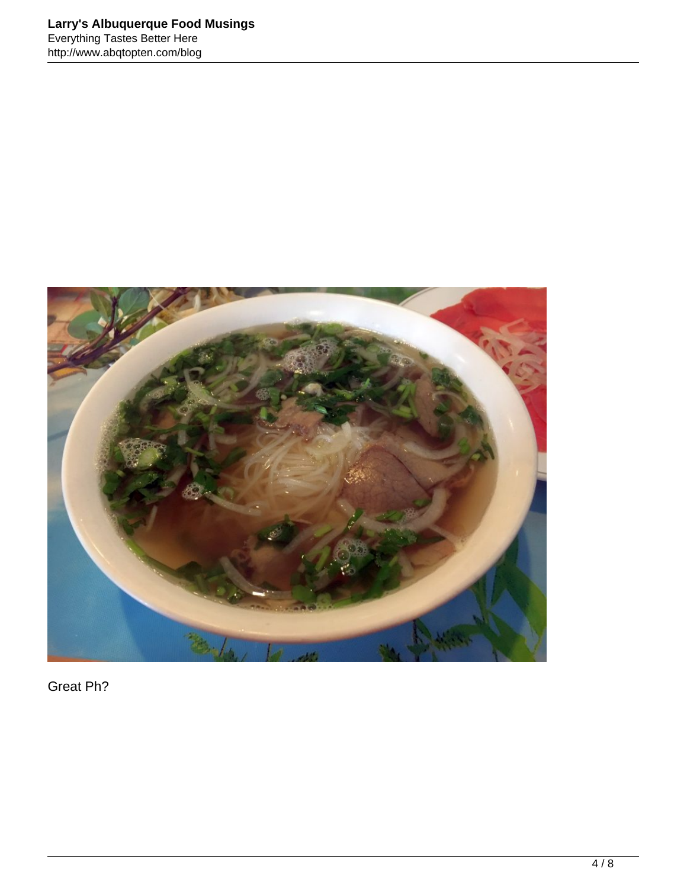

Great Ph?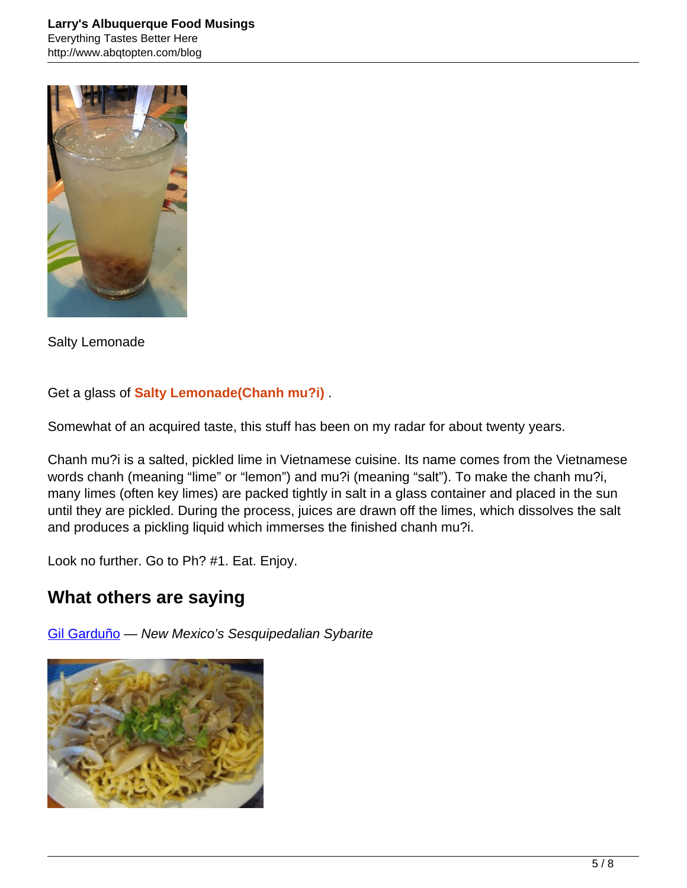

Salty Lemonade

Get a glass of **Salty Lemonade(Chanh mu?i)** .

Somewhat of an acquired taste, this stuff has been on my radar for about twenty years.

Chanh mu?i is a salted, pickled lime in Vietnamese cuisine. Its name comes from the Vietnamese words chanh (meaning "lime" or "lemon") and mu?i (meaning "salt"). To make the chanh mu?i, many limes (often key limes) are packed tightly in salt in a glass container and placed in the sun until they are pickled. During the process, juices are drawn off the limes, which dissolves the salt and produces a pickling liquid which immerses the finished chanh mu?i.

Look no further. Go to Ph? #1. Eat. Enjoy.

### **What others are saying**

[Gil Garduño](http://www.nmgastronome.com/?s=pho+%231) — New Mexico's Sesquipedalian Sybarite

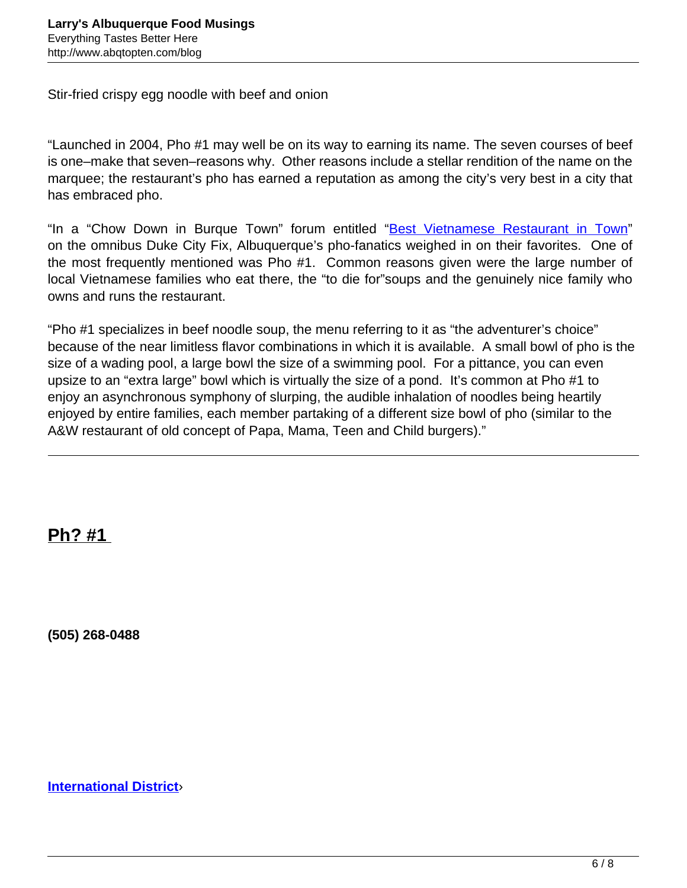Stir-fried crispy egg noodle with beef and onion

"Launched in 2004, Pho #1 may well be on its way to earning its name. The seven courses of beef is one–make that seven–reasons why. Other reasons include a stellar rendition of the name on the marquee; the restaurant's pho has earned a reputation as among the city's very best in a city that has embraced pho.

"In a "Chow Down in Burque Town" forum entitled "[Best Vietnamese Restaurant in Town"](http://www.dukecityfix.com/group/chowdown/forum/topics/1233957:Topic:28439) on the omnibus Duke City Fix, Albuquerque's pho-fanatics weighed in on their favorites. One of the most frequently mentioned was Pho #1. Common reasons given were the large number of local Vietnamese families who eat there, the "to die for"soups and the genuinely nice family who owns and runs the restaurant.

"Pho #1 specializes in beef noodle soup, the menu referring to it as "the adventurer's choice" because of the near limitless flavor combinations in which it is available. A small bowl of pho is the size of a wading pool, a large bowl the size of a swimming pool. For a pittance, you can even upsize to an "extra large" bowl which is virtually the size of a pond. It's common at Pho #1 to enjoy an asynchronous symphony of slurping, the audible inhalation of noodles being heartily enjoyed by entire families, each member partaking of a different size bowl of pho (similar to the A&W restaurant of old concept of Papa, Mama, Teen and Child burgers)."

**Ph? #1** 

**(505) 268-0488**

**[International District](https://www.zomato.com/albuquerque-nm/international-district-restaurants)**›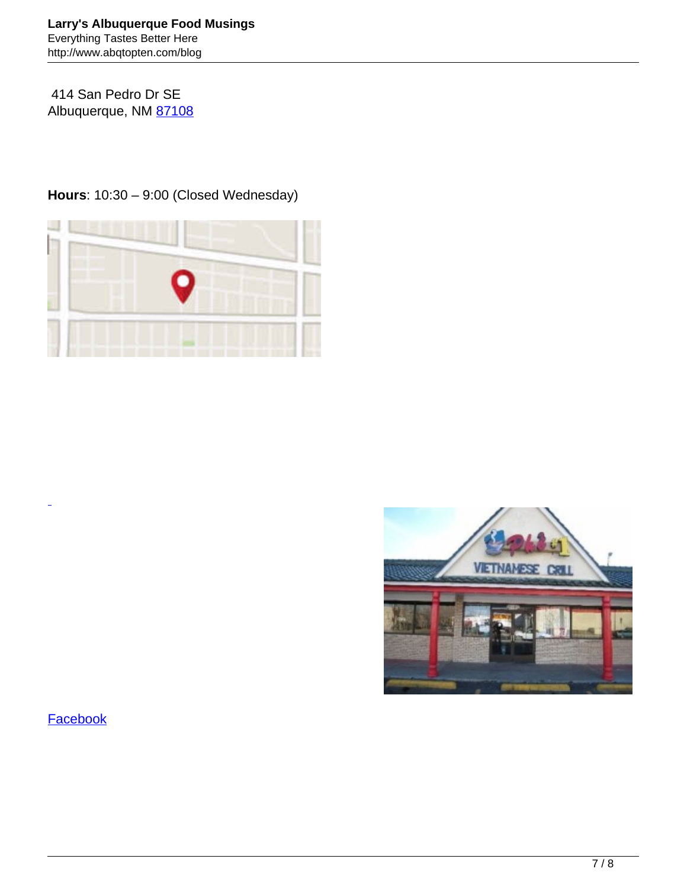414 San Pedro Dr SE Albuquerque, NM [87108](https://www.zomato.com/albuquerque-nm/restaurants-in-87108)

**Hours**: 10:30 – 9:00 (Closed Wednesday)





#### **[Facebook](https://www.facebook.com/pages/Ph%C3%B5-1/130232260356992)**